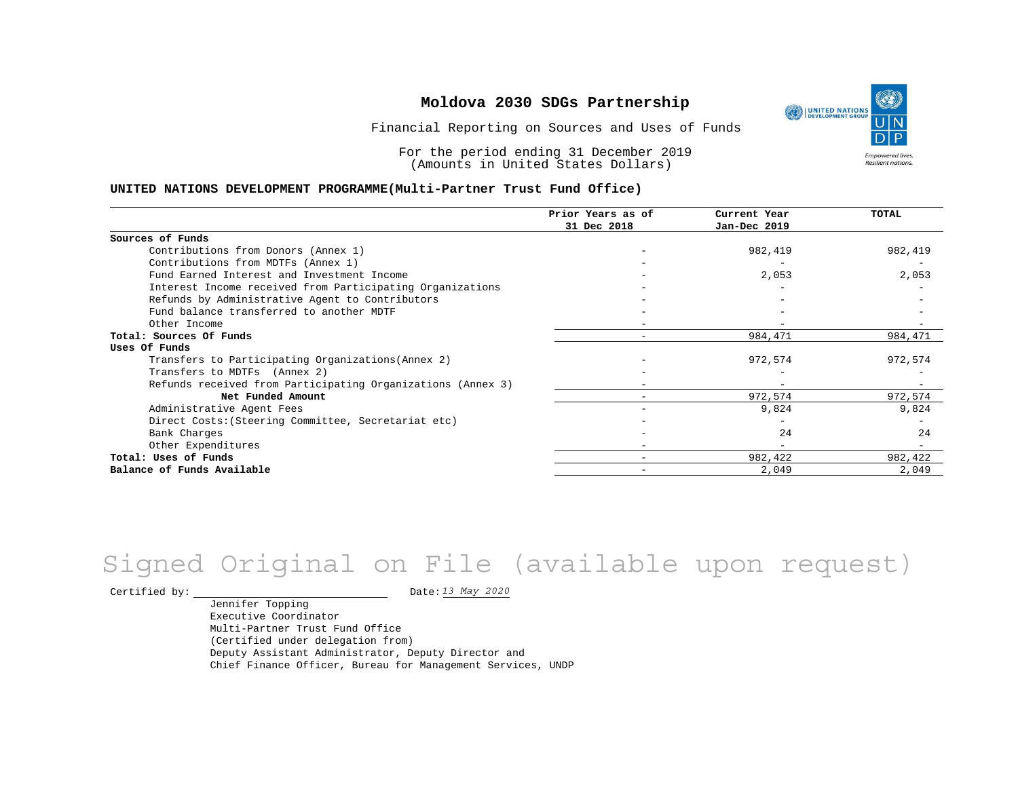Financial Reporting on Sources and Uses of Funds

For the period ending 31 December 2019 (Amounts in United States Dollars)

#### **UNITED NATIONS DEVELOPMENT PROGRAMME(Multi-Partner Trust Fund Office)**

|                                                             | Prior Years as of | Current Year | TOTAL   |
|-------------------------------------------------------------|-------------------|--------------|---------|
|                                                             | 31 Dec 2018       | Jan-Dec 2019 |         |
| Sources of Funds                                            |                   |              |         |
| Contributions from Donors (Annex 1)                         |                   | 982,419      | 982,419 |
| Contributions from MDTFs (Annex 1)                          |                   |              |         |
| Fund Earned Interest and Investment Income                  |                   | 2,053        | 2,053   |
| Interest Income received from Participating Organizations   |                   |              |         |
| Refunds by Administrative Agent to Contributors             |                   |              |         |
| Fund balance transferred to another MDTF                    |                   |              |         |
| Other Income                                                |                   |              |         |
| Total: Sources Of Funds                                     | -                 | 984,471      | 984,471 |
| Uses Of Funds                                               |                   |              |         |
| Transfers to Participating Organizations (Annex 2)          |                   | 972,574      | 972,574 |
| Transfers to MDTFs (Annex 2)                                |                   |              |         |
| Refunds received from Participating Organizations (Annex 3) |                   |              |         |
| Net Funded Amount                                           |                   | 972,574      | 972,574 |
| Administrative Agent Fees                                   |                   | 9,824        | 9,824   |
| Direct Costs: (Steering Committee, Secretariat etc)         |                   |              |         |
| Bank Charges                                                |                   | 2.4          | 24      |
| Other Expenditures                                          |                   |              |         |
| Total: Uses of Funds                                        |                   | 982,422      | 982,422 |
| Balance of Funds Available                                  |                   | 2,049        | 2,049   |

# *13 May 2020* Signed Original on File (available upon request)

Certified by:  $\frac{13 May 2020}{1200}$ 

Jennifer Topping Executive Coordinator Multi-Partner Trust Fund Office (Certified under delegation from) Deputy Assistant Administrator, Deputy Director and Chief Finance Officer, Bureau for Management Services, UNDP

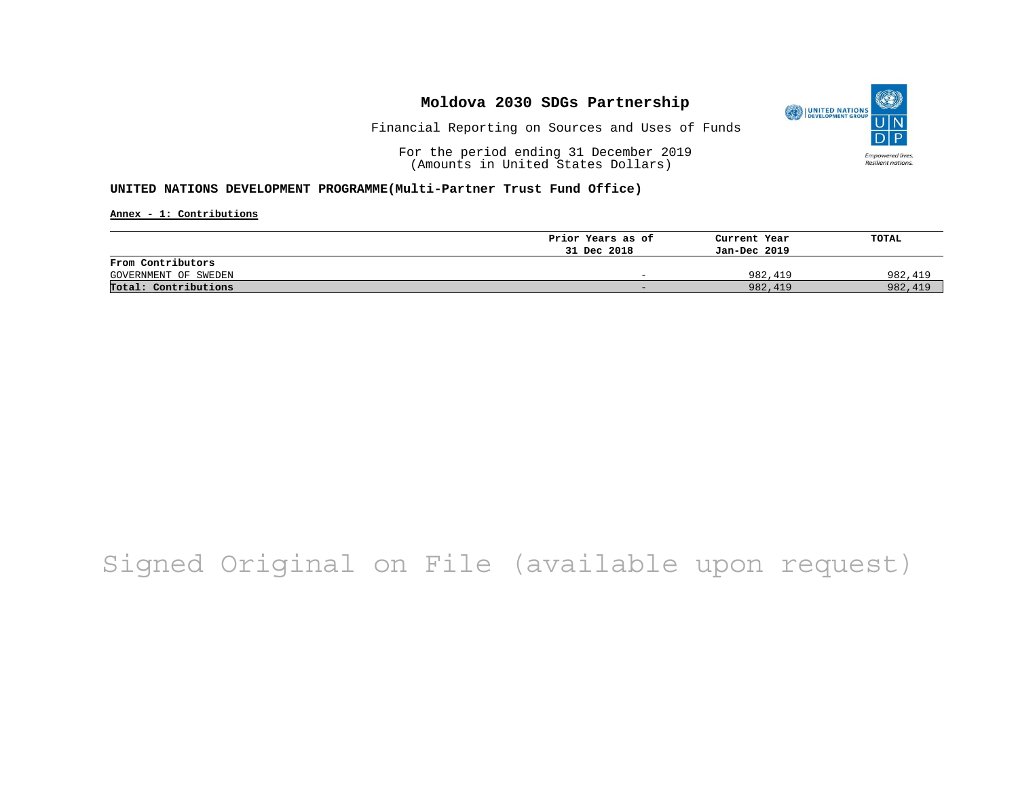

Financial Reporting on Sources and Uses of Funds

For the period ending 31 December 2019 (Amounts in United States Dollars)

#### **UNITED NATIONS DEVELOPMENT PROGRAMME(Multi-Partner Trust Fund Office)**

**Annex - 1: Contributions**

|                      | Prior Years as of<br>31 Dec 2018 | Current Year<br>Jan-Dec 2019 | TOTAL   |
|----------------------|----------------------------------|------------------------------|---------|
| From Contributors    |                                  |                              |         |
| GOVERNMENT OF SWEDEN | $\overline{\phantom{0}}$         | 982,419                      | 982,419 |
| Total: Contributions | $\sim$                           | 982,419                      | 982,419 |

# Signed Original on File (available upon request)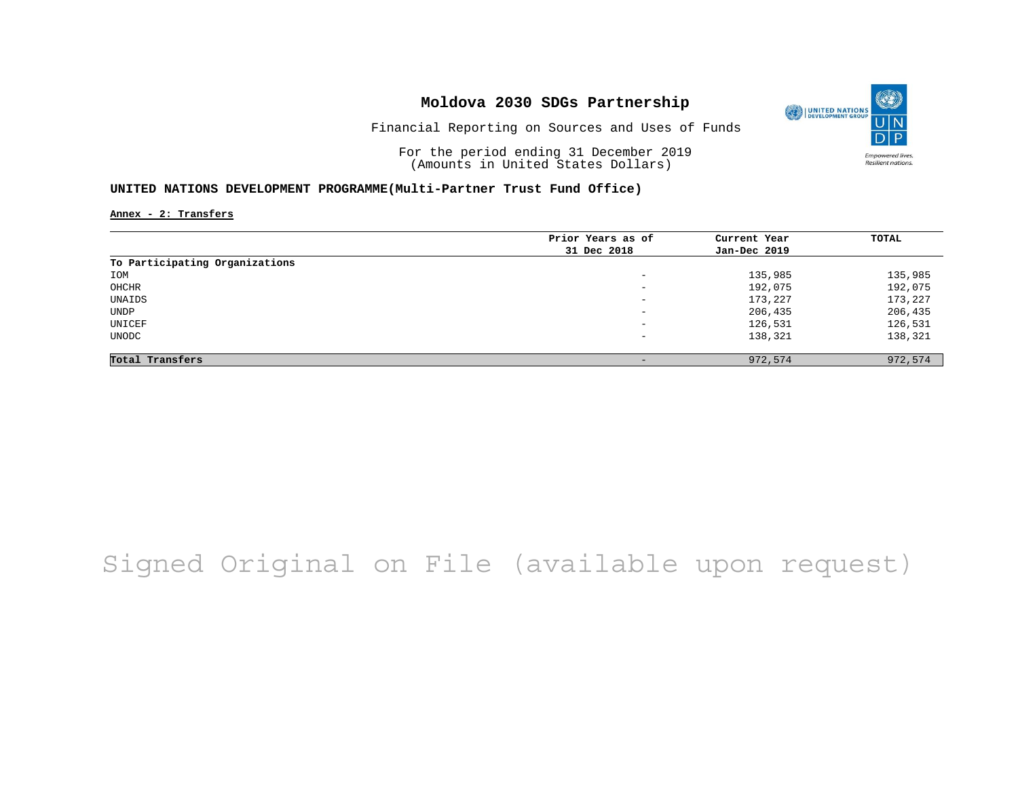

Financial Reporting on Sources and Uses of Funds

For the period ending 31 December 2019 (Amounts in United States Dollars)

#### **UNITED NATIONS DEVELOPMENT PROGRAMME(Multi-Partner Trust Fund Office)**

**Annex - 2: Transfers**

| Prior Years as of | Current Year | TOTAL   |
|-------------------|--------------|---------|
| 31 Dec 2018       | Jan-Dec 2019 |         |
|                   |              |         |
| -                 | 135,985      | 135,985 |
| -                 | 192,075      | 192,075 |
| -                 | 173,227      | 173,227 |
| -                 | 206,435      | 206,435 |
| -                 | 126,531      | 126,531 |
| -                 | 138,321      | 138,321 |
|                   |              |         |
|                   | 972,574      | 972,574 |
|                   |              |         |

# Signed Original on File (available upon request)